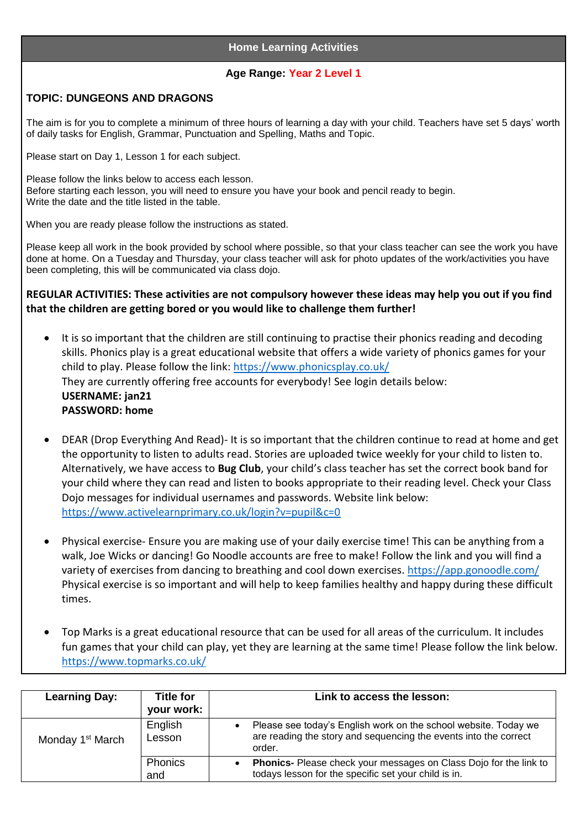## **Home Learning Activities**

## **Age Range: Year 2 Level 1**

## **TOPIC: DUNGEONS AND DRAGONS**

The aim is for you to complete a minimum of three hours of learning a day with your child. Teachers have set 5 days' worth of daily tasks for English, Grammar, Punctuation and Spelling, Maths and Topic.

Please start on Day 1, Lesson 1 for each subject.

Please follow the links below to access each lesson. Before starting each lesson, you will need to ensure you have your book and pencil ready to begin. Write the date and the title listed in the table.

When you are ready please follow the instructions as stated.

Please keep all work in the book provided by school where possible, so that your class teacher can see the work you have done at home. On a Tuesday and Thursday, your class teacher will ask for photo updates of the work/activities you have been completing, this will be communicated via class dojo.

**REGULAR ACTIVITIES: These activities are not compulsory however these ideas may help you out if you find that the children are getting bored or you would like to challenge them further!**

- It is so important that the children are still continuing to practise their phonics reading and decoding skills. Phonics play is a great educational website that offers a wide variety of phonics games for your child to play. Please follow the link:<https://www.phonicsplay.co.uk/> They are currently offering free accounts for everybody! See login details below: **USERNAME: jan21 PASSWORD: home**
- DEAR (Drop Everything And Read)- It is so important that the children continue to read at home and get the opportunity to listen to adults read. Stories are uploaded twice weekly for your child to listen to. Alternatively, we have access to **Bug Club**, your child's class teacher has set the correct book band for your child where they can read and listen to books appropriate to their reading level. Check your Class Dojo messages for individual usernames and passwords. Website link below: <https://www.activelearnprimary.co.uk/login?v=pupil&c=0>
- Physical exercise- Ensure you are making use of your daily exercise time! This can be anything from a walk, Joe Wicks or dancing! Go Noodle accounts are free to make! Follow the link and you will find a variety of exercises from dancing to breathing and cool down exercises.<https://app.gonoodle.com/> Physical exercise is so important and will help to keep families healthy and happy during these difficult times.
- Top Marks is a great educational resource that can be used for all areas of the curriculum. It includes fun games that your child can play, yet they are learning at the same time! Please follow the link below. <https://www.topmarks.co.uk/>

| <b>Learning Day:</b>         | <b>Title for</b><br>your work: | Link to access the lesson:                                                                                                                    |
|------------------------------|--------------------------------|-----------------------------------------------------------------------------------------------------------------------------------------------|
| Monday 1 <sup>st</sup> March | English<br>Lesson              | Please see today's English work on the school website. Today we<br>are reading the story and sequencing the events into the correct<br>order. |
|                              | Phonics<br>and                 | Phonics- Please check your messages on Class Dojo for the link to<br>todays lesson for the specific set your child is in.                     |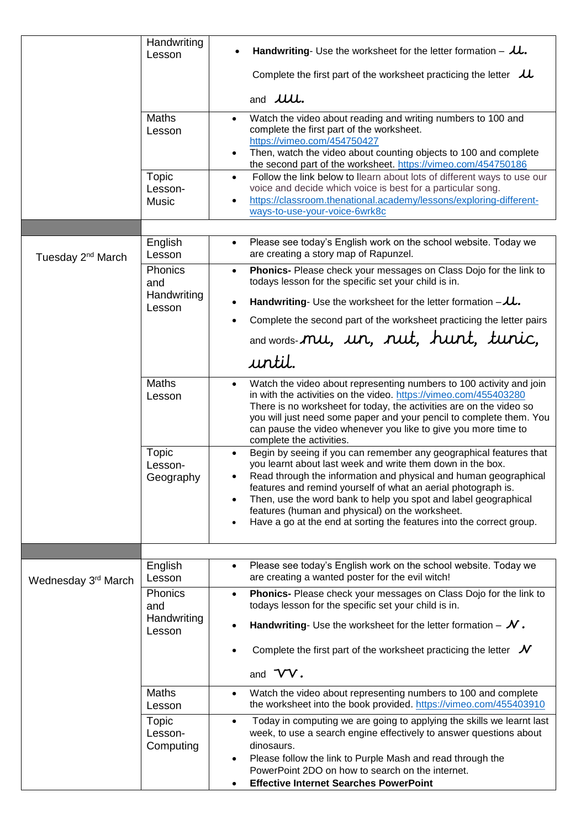|                               | Handwriting<br>Lesson                   | <b>Handwriting-</b> Use the worksheet for the letter formation $ \mu$ .                                                                                                                                                                                                                                                                                                                                                                                             |
|-------------------------------|-----------------------------------------|---------------------------------------------------------------------------------------------------------------------------------------------------------------------------------------------------------------------------------------------------------------------------------------------------------------------------------------------------------------------------------------------------------------------------------------------------------------------|
|                               |                                         | Complete the first part of the worksheet practicing the letter $\mathcal{L}$                                                                                                                                                                                                                                                                                                                                                                                        |
|                               |                                         | and <b><i>JUU</i></b> .                                                                                                                                                                                                                                                                                                                                                                                                                                             |
|                               | <b>Maths</b><br>Lesson                  | Watch the video about reading and writing numbers to 100 and<br>$\bullet$<br>complete the first part of the worksheet.<br>https://vimeo.com/454750427<br>Then, watch the video about counting objects to 100 and complete<br>the second part of the worksheet. https://vimeo.com/454750186                                                                                                                                                                          |
|                               | <b>Topic</b><br>Lesson-<br><b>Music</b> | Follow the link below to llearn about lots of different ways to use our<br>$\bullet$<br>voice and decide which voice is best for a particular song.<br>https://classroom.thenational.academy/lessons/exploring-different-<br>ways-to-use-your-voice-6wrk8c                                                                                                                                                                                                          |
|                               |                                         |                                                                                                                                                                                                                                                                                                                                                                                                                                                                     |
| Tuesday 2 <sup>nd</sup> March | English<br>Lesson                       | Please see today's English work on the school website. Today we<br>$\bullet$<br>are creating a story map of Rapunzel.                                                                                                                                                                                                                                                                                                                                               |
|                               | Phonics<br>and                          | Phonics- Please check your messages on Class Dojo for the link to<br>$\bullet$<br>todays lesson for the specific set your child is in.                                                                                                                                                                                                                                                                                                                              |
|                               | Handwriting<br>Lesson                   | <b>Handwriting-</b> Use the worksheet for the letter formation $-\lambda\lambda$ .                                                                                                                                                                                                                                                                                                                                                                                  |
|                               |                                         | Complete the second part of the worksheet practicing the letter pairs                                                                                                                                                                                                                                                                                                                                                                                               |
|                               |                                         | and words-mu, un, nut, hunt, tunic,                                                                                                                                                                                                                                                                                                                                                                                                                                 |
|                               |                                         | until.                                                                                                                                                                                                                                                                                                                                                                                                                                                              |
|                               | <b>Maths</b><br>Lesson                  | Watch the video about representing numbers to 100 activity and join<br>٠<br>in with the activities on the video. https://vimeo.com/455403280<br>There is no worksheet for today, the activities are on the video so<br>you will just need some paper and your pencil to complete them. You<br>can pause the video whenever you like to give you more time to<br>complete the activities.                                                                            |
|                               | Topic<br>Lesson-<br>Geography           | Begin by seeing if you can remember any geographical features that<br>you learnt about last week and write them down in the box.<br>Read through the information and physical and human geographical<br>features and remind yourself of what an aerial photograph is.<br>Then, use the word bank to help you spot and label geographical<br>features (human and physical) on the worksheet.<br>Have a go at the end at sorting the features into the correct group. |
|                               |                                         |                                                                                                                                                                                                                                                                                                                                                                                                                                                                     |
| Wednesday 3rd March           | English<br>Lesson                       | Please see today's English work on the school website. Today we<br>$\bullet$<br>are creating a wanted poster for the evil witch!                                                                                                                                                                                                                                                                                                                                    |
|                               | Phonics<br>and<br>Handwriting           | Phonics- Please check your messages on Class Dojo for the link to<br>$\bullet$<br>todays lesson for the specific set your child is in.                                                                                                                                                                                                                                                                                                                              |
|                               | Lesson                                  | <b>Handwriting-</b> Use the worksheet for the letter formation $-\mathcal{N}$ .                                                                                                                                                                                                                                                                                                                                                                                     |
|                               |                                         | Complete the first part of the worksheet practicing the letter $\mathcal N$                                                                                                                                                                                                                                                                                                                                                                                         |
|                               |                                         | and VV.                                                                                                                                                                                                                                                                                                                                                                                                                                                             |
|                               | <b>Maths</b><br>Lesson                  | Watch the video about representing numbers to 100 and complete<br>$\bullet$<br>the worksheet into the book provided. https://vimeo.com/455403910                                                                                                                                                                                                                                                                                                                    |
|                               | Topic<br>Lesson-<br>Computing           | Today in computing we are going to applying the skills we learnt last<br>$\bullet$<br>week, to use a search engine effectively to answer questions about<br>dinosaurs.<br>Please follow the link to Purple Mash and read through the<br>$\bullet$<br>PowerPoint 2DO on how to search on the internet.                                                                                                                                                               |
|                               |                                         | <b>Effective Internet Searches PowerPoint</b>                                                                                                                                                                                                                                                                                                                                                                                                                       |